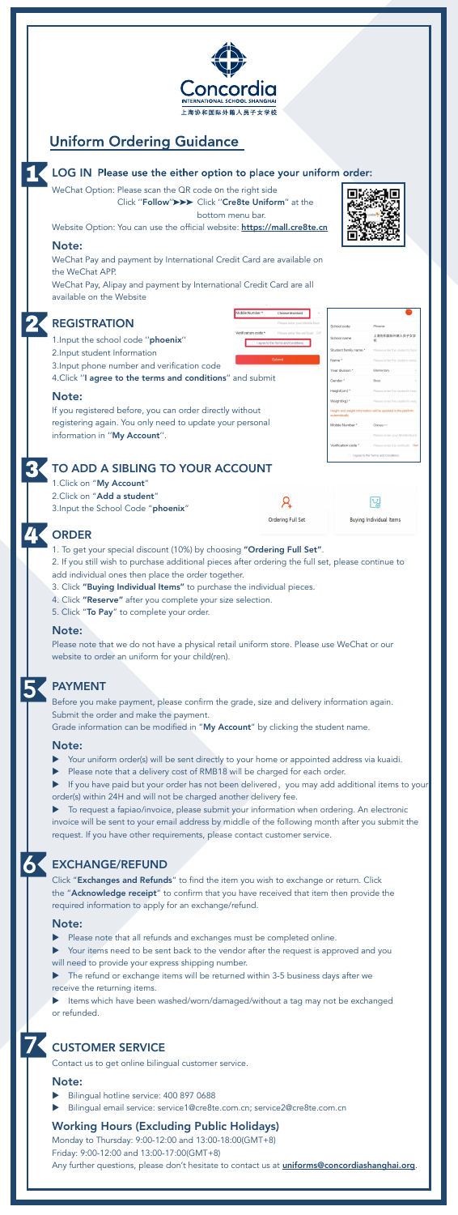

## **Uniform Ordering Guidance**

### LOG IN Please use the either option to place your uniform order:

WeChat Option: Please scan the QR code on the right side

Click "Follow" >>> Click "Cre8te Uniform" at the

bottom menu bar.

Mobile Number \*

Verification code \*

Chinese Mainland

I agree to the Terms and Condition

Submit

Please enter your Mobile Num.

Website Option: You can use the official website: https://mall.cre8te.cn

#### Note:

WeChat Pay and payment by International Credit Card are available on the WeChat APP.

WeChat Pay, Alipay and payment by International Credit Card are all available on the Website



## REGISTRATION

- 1. Input the school code ''phoenix''
- 2. Input student Information
- 3. Input phone number and verification code
- 4. Click ''I agree to the terms and conditions'' and submit

### Note:

If you registered before, you can order directly without registering again. You only need to update your personal information in ''My Account''.



### TO ADD A SIBLING TO YOUR ACCOUNT

1. Click on "My Account" 2. Click on "Add a student" 3. Input the School Code "phoenix"

| Drdering Full Set |  |
|-------------------|--|



**Buying Individual Items** 

## RDER

- Please note that a delivery cost of RMB18 will be charged for each order.
- If you have paid but your order has not been delivered, you may add additional items to your order(s) within 24H and will not be charged another delivery fee.
- 1. To get your special discount (10%) by choosing "Ordering Full Set".
- 2. If you still wish to purchase additional pieces after ordering the full set, please continue to add individual ones then place the order together.
- 3. Click "Buying Individual Items" to purchase the individual pieces.
- 4. Click "Reserve" after you complete your size selection.

**To request a fapiao/invoice, please submit your information when ordering. An electronic** invoice will be sent to your email address by middle of the following month after you submit the request. If you have other requirements, please contact customer service.

5. Click "To Pay" to complete your order.

#### Note:

Your items need to be sent back to the vendor after the request is approved and you will need to provide your express shipping number.

Please note that we do not have a physical retail uniform store. Please use WeChat or our website to order an uniform for your child(ren).



The refund or exchange items will be returned within 3-5 business days after we receive the returning items.

Items which have been washed/worn/damaged/without a tag may not be exchanged or refunded.

Before you make payment, please confirm the grade, size and delivery information again. Submit the order and make the payment.

Grade information can be modified in "My Account" by clicking the student name.

Monday to Thursday: 9:00-12:00 and 13:00-18:00(GMT+8) Friday: 9:00-12:00 and 13:00-17:00(GMT+8) Any further questions, please don't hesitate to contact us at *uniforms@concordiashanghai.org*.

#### Note:

Your uniform order(s) will be sent directly to your home or appointed address via kuaidi.

### PAYMENT

Click "Exchanges and Refunds" to find the item you wish to exchange or return. Click the "Acknowledge receipt" to confirm that you have received that item then provide the required information to apply for an exchange/refund.

#### Note:

Please note that all refunds and exchanges must be completed online.

### EXCHANGE/REFUND

Contact us to get online bilingual customer service.

### Note:

- Bilingual hotline service: 400 897 0688
- Bilingual email service: service1@cre8te.com.cn; service2@cre8te.com.cn

### Working Hours (Excluding Public Holidays)

### CUSTOMER SERVICE